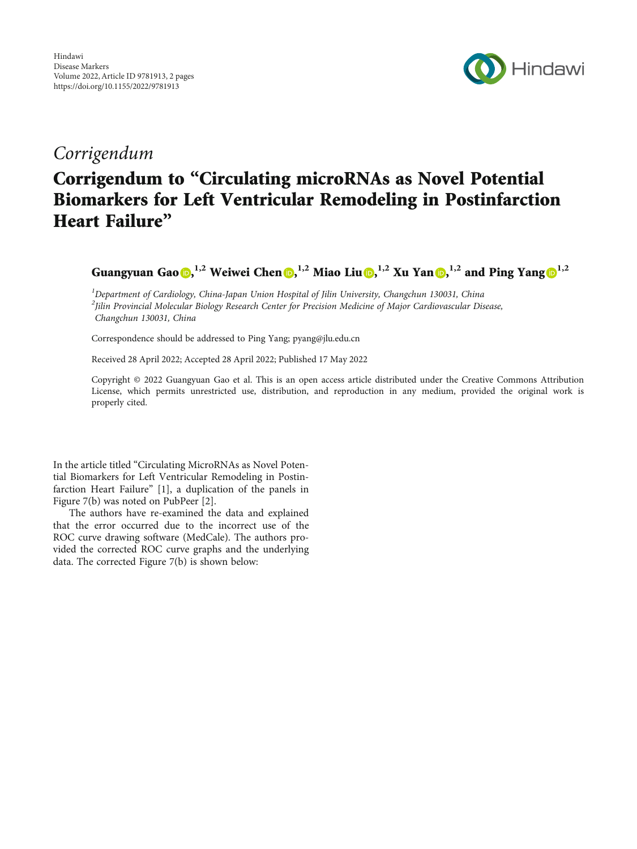

## Corrigendum

## Corrigendum to "Circulating microRNAs as Novel Potential Biomarkers for Left Ventricular Remodeling in Postinfarction Heart Failure"

Guangyuan Gao **D**[,](https://orcid.org/0000-0003-0350-5373) <sup>[1](https://orcid.org/0000-0001-7960-6248),2</sup> Weiwei Chen **D**, <sup>1,2</sup> Miao Liu **D**, <sup>1,2</sup> Xu Yan **D**, <sup>1,2</sup> and Ping Yang **D**<sup>1,2</sup>

<sup>1</sup>Department of Cardiology, China-Japan Union Hospital of Jilin University, Changchun 130031, China <sup>2</sup>Jilin Provincial Molecular Biology Research Center for Precision Medicine of Major Cardiovascular Disease, Changchun 130031, China

Correspondence should be addressed to Ping Yang; pyang@jlu.edu.cn

Received 28 April 2022; Accepted 28 April 2022; Published 17 May 2022

Copyright © 2022 Guangyuan Gao et al. This is an open access article distributed under the [Creative Commons Attribution](https://creativecommons.org/licenses/by/4.0/) [License,](https://creativecommons.org/licenses/by/4.0/) which permits unrestricted use, distribution, and reproduction in any medium, provided the original work is properly cited.

In the article titled "Circulating MicroRNAs as Novel Potential Biomarkers for Left Ventricular Remodeling in Postinfarction Heart Failure" [[1\]](#page-1-0), a duplication of the panels in Figure 7(b) was noted on PubPeer [\[2](#page-1-0)].

The authors have re-examined the data and explained that the error occurred due to the incorrect use of the ROC curve drawing software (MedCale). The authors provided the corrected ROC curve graphs and the underlying data. The corrected Figure [7](#page-1-0)(b) is shown below: